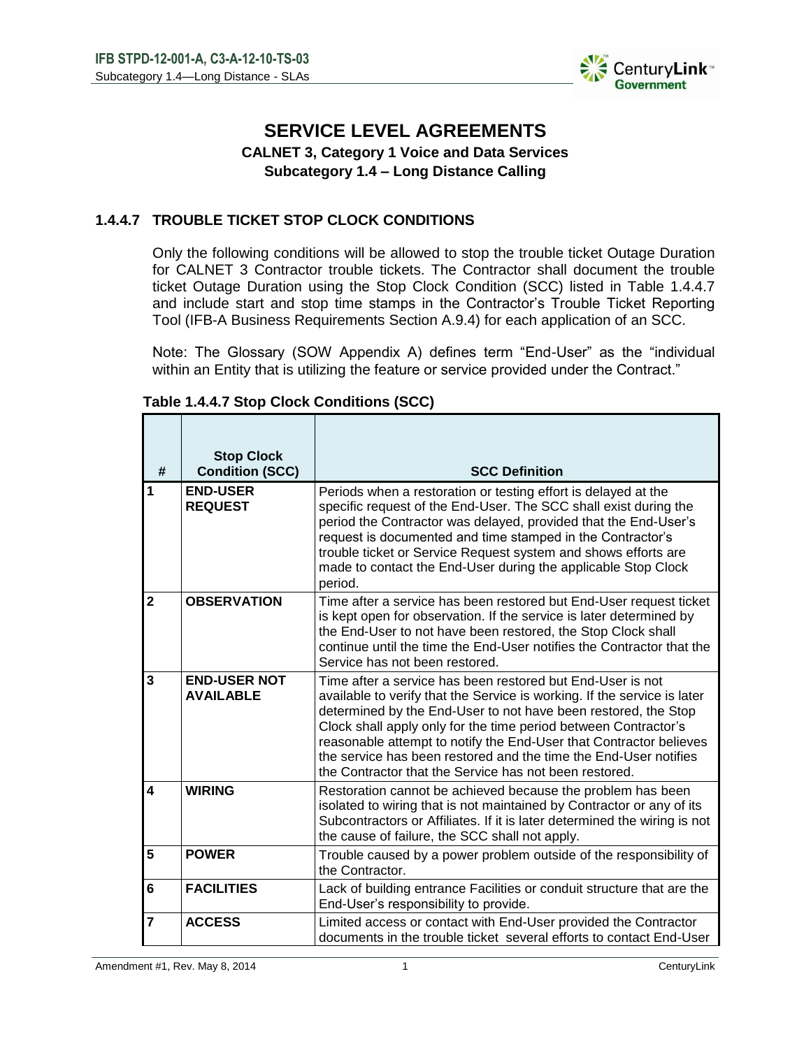

# **SERVICE LEVEL AGREEMENTS**

# **CALNET 3, Category 1 Voice and Data Services Subcategory 1.4 – Long Distance Calling**

# **1.4.4.7 TROUBLE TICKET STOP CLOCK CONDITIONS**

Only the following conditions will be allowed to stop the trouble ticket Outage Duration for CALNET 3 Contractor trouble tickets. The Contractor shall document the trouble ticket Outage Duration using the Stop Clock Condition (SCC) listed in Table 1.4.4.7 and include start and stop time stamps in the Contractor's Trouble Ticket Reporting Tool (IFB-A Business Requirements Section A.9.4) for each application of an SCC.

Note: The Glossary (SOW Appendix A) defines term "End-User" as the "individual within an Entity that is utilizing the feature or service provided under the Contract."

| #                       | <b>Stop Clock</b><br><b>Condition (SCC)</b> | <b>SCC Definition</b>                                                                                                                                                                                                                                                                                                                                                                                                                                                           |
|-------------------------|---------------------------------------------|---------------------------------------------------------------------------------------------------------------------------------------------------------------------------------------------------------------------------------------------------------------------------------------------------------------------------------------------------------------------------------------------------------------------------------------------------------------------------------|
| 1                       | <b>END-USER</b><br><b>REQUEST</b>           | Periods when a restoration or testing effort is delayed at the<br>specific request of the End-User. The SCC shall exist during the<br>period the Contractor was delayed, provided that the End-User's<br>request is documented and time stamped in the Contractor's<br>trouble ticket or Service Request system and shows efforts are<br>made to contact the End-User during the applicable Stop Clock<br>period.                                                               |
| $\mathbf{2}$            | <b>OBSERVATION</b>                          | Time after a service has been restored but End-User request ticket<br>is kept open for observation. If the service is later determined by<br>the End-User to not have been restored, the Stop Clock shall<br>continue until the time the End-User notifies the Contractor that the<br>Service has not been restored.                                                                                                                                                            |
| $\overline{\mathbf{3}}$ | <b>END-USER NOT</b><br><b>AVAILABLE</b>     | Time after a service has been restored but End-User is not<br>available to verify that the Service is working. If the service is later<br>determined by the End-User to not have been restored, the Stop<br>Clock shall apply only for the time period between Contractor's<br>reasonable attempt to notify the End-User that Contractor believes<br>the service has been restored and the time the End-User notifies<br>the Contractor that the Service has not been restored. |
| $\blacktriangle$        | <b>WIRING</b>                               | Restoration cannot be achieved because the problem has been<br>isolated to wiring that is not maintained by Contractor or any of its<br>Subcontractors or Affiliates. If it is later determined the wiring is not<br>the cause of failure, the SCC shall not apply.                                                                                                                                                                                                             |
| 5                       | <b>POWER</b>                                | Trouble caused by a power problem outside of the responsibility of<br>the Contractor.                                                                                                                                                                                                                                                                                                                                                                                           |
| 6                       | <b>FACILITIES</b>                           | Lack of building entrance Facilities or conduit structure that are the<br>End-User's responsibility to provide.                                                                                                                                                                                                                                                                                                                                                                 |
| $\overline{7}$          | <b>ACCESS</b>                               | Limited access or contact with End-User provided the Contractor<br>documents in the trouble ticket several efforts to contact End-User                                                                                                                                                                                                                                                                                                                                          |

## **Table 1.4.4.7 Stop Clock Conditions (SCC)**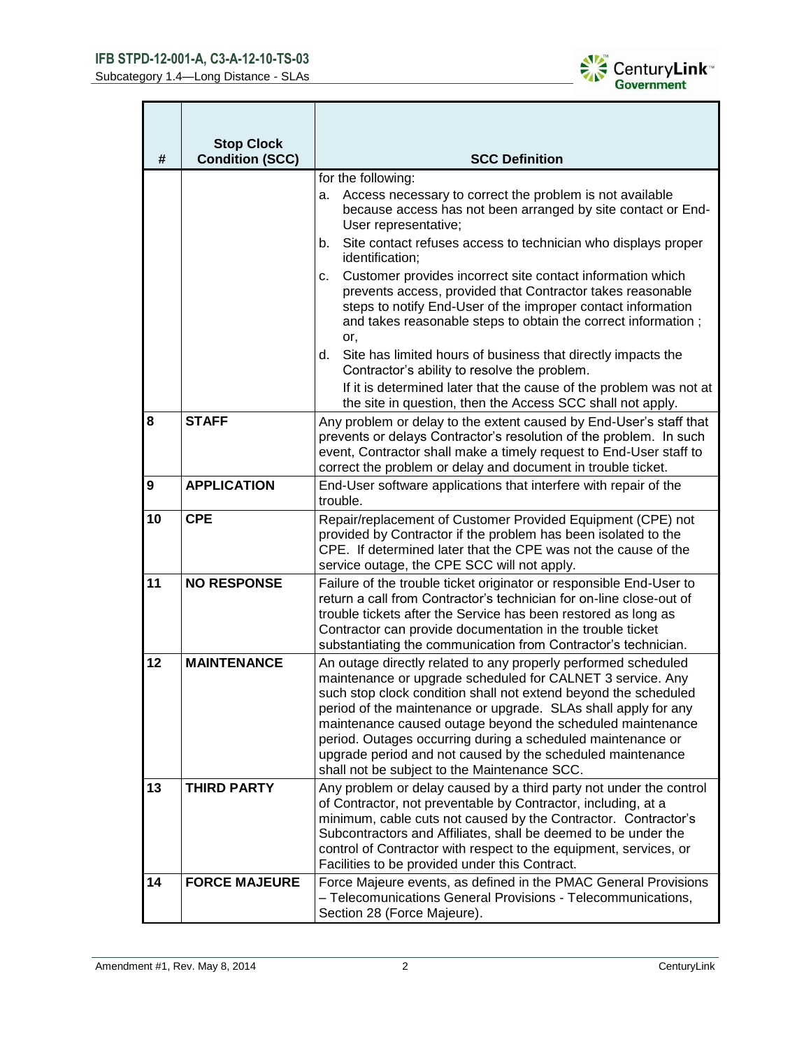

|    | <b>Stop Clock</b>      |                                                                                                                                                                                                                                                                                                                                                                                                                                                                                                              |
|----|------------------------|--------------------------------------------------------------------------------------------------------------------------------------------------------------------------------------------------------------------------------------------------------------------------------------------------------------------------------------------------------------------------------------------------------------------------------------------------------------------------------------------------------------|
| #  | <b>Condition (SCC)</b> | <b>SCC Definition</b>                                                                                                                                                                                                                                                                                                                                                                                                                                                                                        |
|    |                        | for the following:<br>Access necessary to correct the problem is not available<br>а.<br>because access has not been arranged by site contact or End-<br>User representative;                                                                                                                                                                                                                                                                                                                                 |
|    |                        | Site contact refuses access to technician who displays proper<br>b.<br>identification;                                                                                                                                                                                                                                                                                                                                                                                                                       |
|    |                        | Customer provides incorrect site contact information which<br>c.<br>prevents access, provided that Contractor takes reasonable<br>steps to notify End-User of the improper contact information<br>and takes reasonable steps to obtain the correct information;<br>or,                                                                                                                                                                                                                                       |
|    |                        | Site has limited hours of business that directly impacts the<br>d.<br>Contractor's ability to resolve the problem.                                                                                                                                                                                                                                                                                                                                                                                           |
|    |                        | If it is determined later that the cause of the problem was not at<br>the site in question, then the Access SCC shall not apply.                                                                                                                                                                                                                                                                                                                                                                             |
| 8  | <b>STAFF</b>           | Any problem or delay to the extent caused by End-User's staff that<br>prevents or delays Contractor's resolution of the problem. In such<br>event, Contractor shall make a timely request to End-User staff to<br>correct the problem or delay and document in trouble ticket.                                                                                                                                                                                                                               |
| 9  | <b>APPLICATION</b>     | End-User software applications that interfere with repair of the<br>trouble.                                                                                                                                                                                                                                                                                                                                                                                                                                 |
| 10 | <b>CPE</b>             | Repair/replacement of Customer Provided Equipment (CPE) not<br>provided by Contractor if the problem has been isolated to the<br>CPE. If determined later that the CPE was not the cause of the<br>service outage, the CPE SCC will not apply.                                                                                                                                                                                                                                                               |
| 11 | <b>NO RESPONSE</b>     | Failure of the trouble ticket originator or responsible End-User to<br>return a call from Contractor's technician for on-line close-out of<br>trouble tickets after the Service has been restored as long as<br>Contractor can provide documentation in the trouble ticket<br>substantiating the communication from Contractor's technician.                                                                                                                                                                 |
| 12 | <b>MAINTENANCE</b>     | An outage directly related to any properly performed scheduled<br>maintenance or upgrade scheduled for CALNET 3 service. Any<br>such stop clock condition shall not extend beyond the scheduled<br>period of the maintenance or upgrade. SLAs shall apply for any<br>maintenance caused outage beyond the scheduled maintenance<br>period. Outages occurring during a scheduled maintenance or<br>upgrade period and not caused by the scheduled maintenance<br>shall not be subject to the Maintenance SCC. |
| 13 | <b>THIRD PARTY</b>     | Any problem or delay caused by a third party not under the control<br>of Contractor, not preventable by Contractor, including, at a<br>minimum, cable cuts not caused by the Contractor. Contractor's<br>Subcontractors and Affiliates, shall be deemed to be under the<br>control of Contractor with respect to the equipment, services, or<br>Facilities to be provided under this Contract.                                                                                                               |
| 14 | <b>FORCE MAJEURE</b>   | Force Majeure events, as defined in the PMAC General Provisions<br>- Telecomunications General Provisions - Telecommunications,<br>Section 28 (Force Majeure).                                                                                                                                                                                                                                                                                                                                               |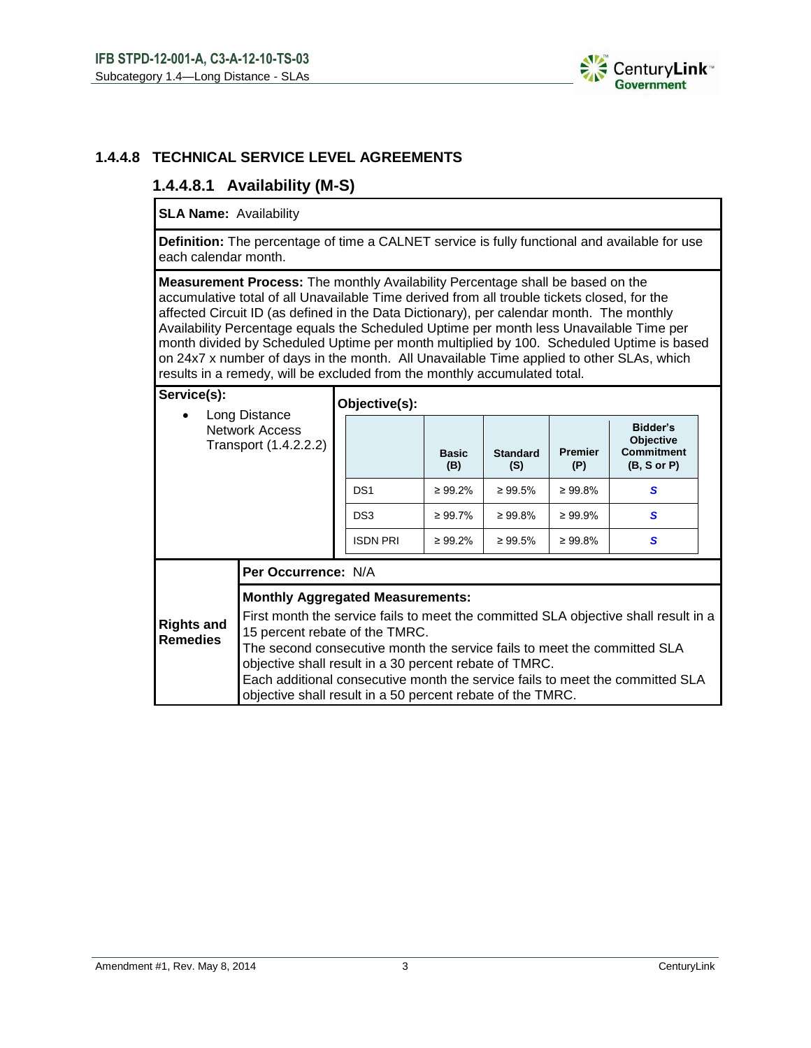

## **1.4.4.8 TECHNICAL SERVICE LEVEL AGREEMENTS**

## **1.4.4.8.1 Availability (M-S)**

**SLA Name: Availability** 

**Definition:** The percentage of time a CALNET service is fully functional and available for use each calendar month.

**Measurement Process:** The monthly Availability Percentage shall be based on the accumulative total of all Unavailable Time derived from all trouble tickets closed, for the affected Circuit ID (as defined in the Data Dictionary), per calendar month. The monthly Availability Percentage equals the Scheduled Uptime per month less Unavailable Time per month divided by Scheduled Uptime per month multiplied by 100. Scheduled Uptime is based on 24x7 x number of days in the month. All Unavailable Time applied to other SLAs, which results in a remedy, will be excluded from the monthly accumulated total.

| Service(s): |  |
|-------------|--|

Т

| <del>,,,,,,,,,,,</del><br>Long Distance<br>$\bullet$<br><b>Network Access</b><br>Transport (1.4.2.2.2)                                                                                                                                                                                                                                                                                                                                      |                                         | Objective(s):   |                     |                        |                       |                                                           |  |  |
|---------------------------------------------------------------------------------------------------------------------------------------------------------------------------------------------------------------------------------------------------------------------------------------------------------------------------------------------------------------------------------------------------------------------------------------------|-----------------------------------------|-----------------|---------------------|------------------------|-----------------------|-----------------------------------------------------------|--|--|
|                                                                                                                                                                                                                                                                                                                                                                                                                                             |                                         |                 | <b>Basic</b><br>(B) | <b>Standard</b><br>(S) | <b>Premier</b><br>(P) | Bidder's<br>Objective<br><b>Commitment</b><br>(B, S or P) |  |  |
|                                                                                                                                                                                                                                                                                                                                                                                                                                             |                                         | DS <sub>1</sub> | $\geq 99.2\%$       | $\geq 99.5\%$          | $\geq 99.8\%$         | S                                                         |  |  |
|                                                                                                                                                                                                                                                                                                                                                                                                                                             |                                         | DS <sub>3</sub> | $\geq 99.7\%$       | $\geq 99.8\%$          | $\geq 99.9\%$         | S                                                         |  |  |
|                                                                                                                                                                                                                                                                                                                                                                                                                                             |                                         | <b>ISDN PRI</b> | $\geq 99.2\%$       | $\geq 99.5\%$          | $\geq 99.8\%$         | S                                                         |  |  |
|                                                                                                                                                                                                                                                                                                                                                                                                                                             | Per Occurrence: N/A                     |                 |                     |                        |                       |                                                           |  |  |
|                                                                                                                                                                                                                                                                                                                                                                                                                                             | <b>Monthly Aggregated Measurements:</b> |                 |                     |                        |                       |                                                           |  |  |
| First month the service fails to meet the committed SLA objective shall result in a<br><b>Rights and</b><br>15 percent rebate of the TMRC.<br>Remedies<br>The second consecutive month the service fails to meet the committed SLA<br>objective shall result in a 30 percent rebate of TMRC.<br>Each additional consecutive month the service fails to meet the committed SLA<br>objective shall result in a 50 percent rebate of the TMRC. |                                         |                 |                     |                        |                       |                                                           |  |  |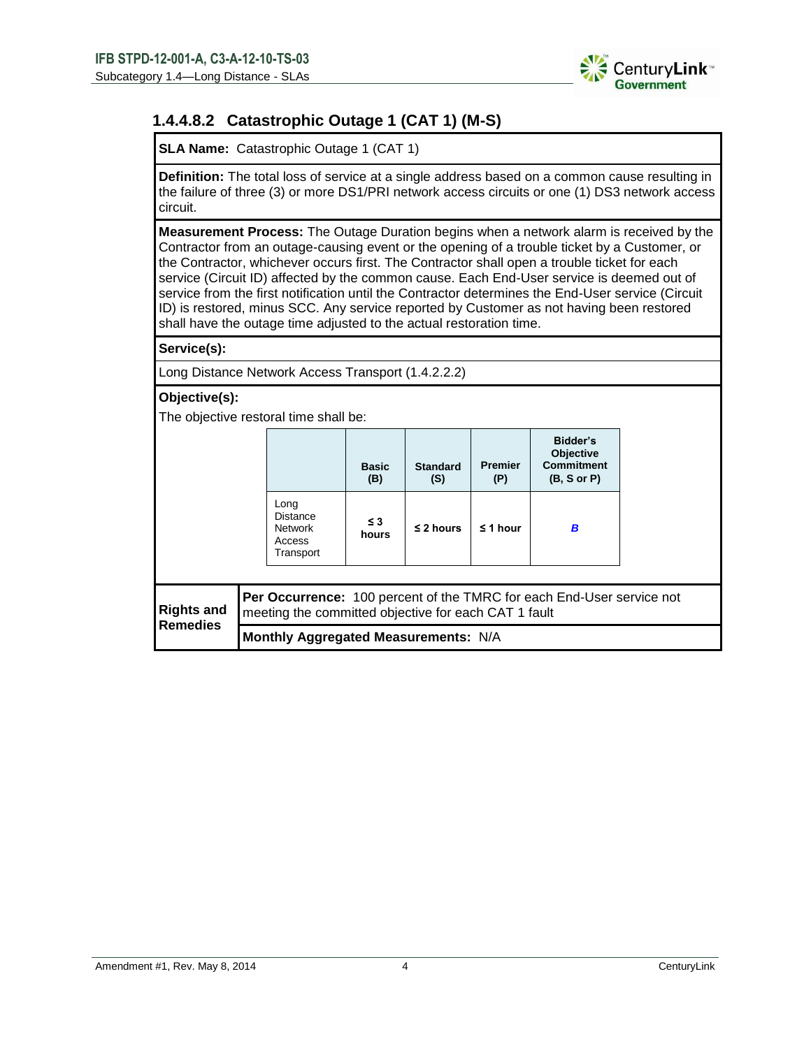

# **1.4.4.8.2 Catastrophic Outage 1 (CAT 1) (M-S)**

**SLA Name:** Catastrophic Outage 1 (CAT 1)

**Definition:** The total loss of service at a single address based on a common cause resulting in the failure of three (3) or more DS1/PRI network access circuits or one (1) DS3 network access circuit.

**Measurement Process:** The Outage Duration begins when a network alarm is received by the Contractor from an outage-causing event or the opening of a trouble ticket by a Customer, or the Contractor, whichever occurs first. The Contractor shall open a trouble ticket for each service (Circuit ID) affected by the common cause. Each End-User service is deemed out of service from the first notification until the Contractor determines the End-User service (Circuit ID) is restored, minus SCC. Any service reported by Customer as not having been restored shall have the outage time adjusted to the actual restoration time.

**Service(s):**

Long Distance Network Access Transport (1.4.2.2.2)

**Objective(s):**

The objective restoral time shall be:

|                                      |                                                                                                                                      |                                                           | <b>Basic</b><br>(B) | <b>Standard</b><br>(S)               | <b>Premier</b><br>(P) | Bidder's<br><b>Objective</b><br><b>Commitment</b><br>(B, S or P) |  |  |
|--------------------------------------|--------------------------------------------------------------------------------------------------------------------------------------|-----------------------------------------------------------|---------------------|--------------------------------------|-----------------------|------------------------------------------------------------------|--|--|
|                                      |                                                                                                                                      | Long<br>Distance<br><b>Network</b><br>Access<br>Transport | $\leq$ 3<br>hours   | $\leq$ 2 hours                       | $\leq$ 1 hour         | B                                                                |  |  |
| <b>Rights and</b><br><b>Remedies</b> | <b>Per Occurrence:</b> 100 percent of the TMRC for each End-User service not<br>meeting the committed objective for each CAT 1 fault |                                                           |                     |                                      |                       |                                                                  |  |  |
|                                      |                                                                                                                                      |                                                           |                     | Monthly Aggregated Measurements: N/A |                       |                                                                  |  |  |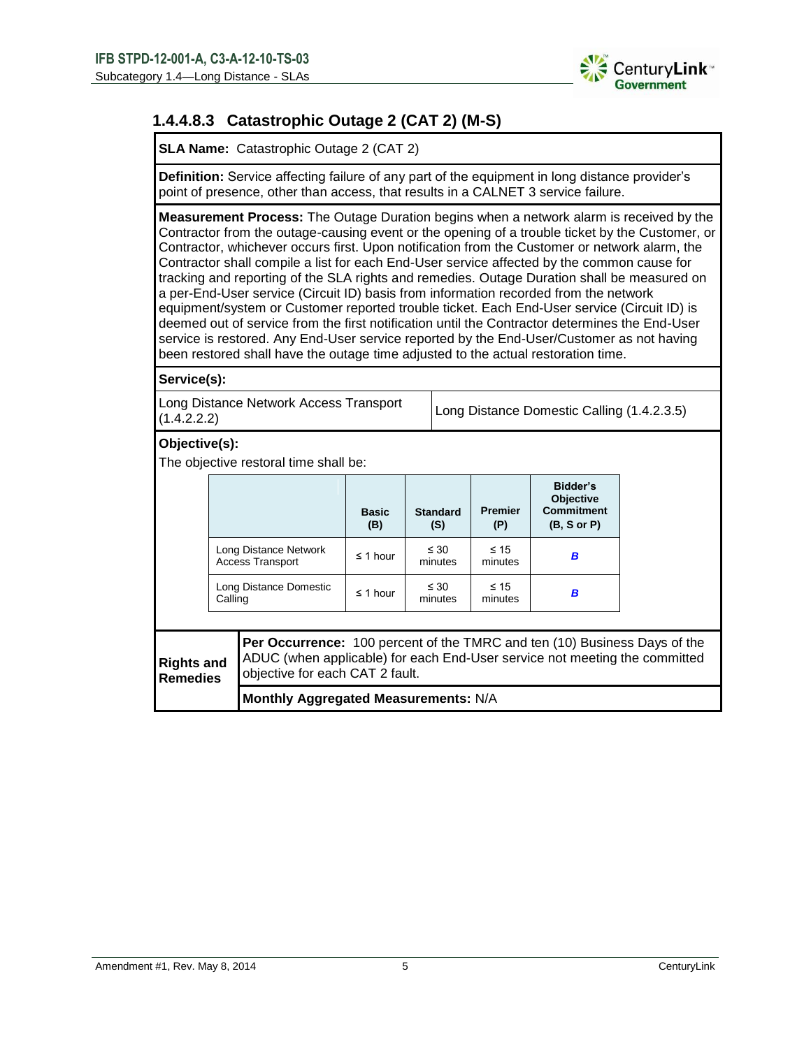

# **1.4.4.8.3 Catastrophic Outage 2 (CAT 2) (M-S)**

**SLA Name:** Catastrophic Outage 2 (CAT 2)

**Definition:** Service affecting failure of any part of the equipment in long distance provider's point of presence, other than access, that results in a CALNET 3 service failure.

**Measurement Process:** The Outage Duration begins when a network alarm is received by the Contractor from the outage-causing event or the opening of a trouble ticket by the Customer, or Contractor, whichever occurs first. Upon notification from the Customer or network alarm, the Contractor shall compile a list for each End-User service affected by the common cause for tracking and reporting of the SLA rights and remedies. Outage Duration shall be measured on a per-End-User service (Circuit ID) basis from information recorded from the network equipment/system or Customer reported trouble ticket. Each End-User service (Circuit ID) is deemed out of service from the first notification until the Contractor determines the End-User service is restored. Any End-User service reported by the End-User/Customer as not having been restored shall have the outage time adjusted to the actual restoration time.

**Service(s):**

Long Distance Network Access Transport Long Distance Network Access Transport Long Distance Domestic Calling (1.4.2.3.5)

**Objective(s):**

The objective restoral time shall be:

|                                      |                                   |                                                                                                                                                                                                   | <b>Basic</b><br>(B) | <b>Standard</b><br>(S) | <b>Premier</b><br>(P) | Bidder's<br><b>Objective</b><br><b>Commitment</b><br>(B, S or P) |  |
|--------------------------------------|-----------------------------------|---------------------------------------------------------------------------------------------------------------------------------------------------------------------------------------------------|---------------------|------------------------|-----------------------|------------------------------------------------------------------|--|
|                                      |                                   | Long Distance Network<br><b>Access Transport</b>                                                                                                                                                  | ≤ 1 hour            | $\leq 30$<br>minutes   | $\leq 15$<br>minutes  | B                                                                |  |
|                                      | Long Distance Domestic<br>Calling |                                                                                                                                                                                                   | $\leq$ 1 hour       | $\leq 30$<br>minutes   | $\leq 15$<br>minutes  | B                                                                |  |
|                                      |                                   |                                                                                                                                                                                                   |                     |                        |                       |                                                                  |  |
| <b>Rights and</b><br><b>Remedies</b> |                                   | <b>Per Occurrence:</b> 100 percent of the TMRC and ten (10) Business Days of the<br>ADUC (when applicable) for each End-User service not meeting the committed<br>objective for each CAT 2 fault. |                     |                        |                       |                                                                  |  |
|                                      |                                   |                                                                                                                                                                                                   |                     |                        |                       |                                                                  |  |

**Monthly Aggregated Measurements:** N/A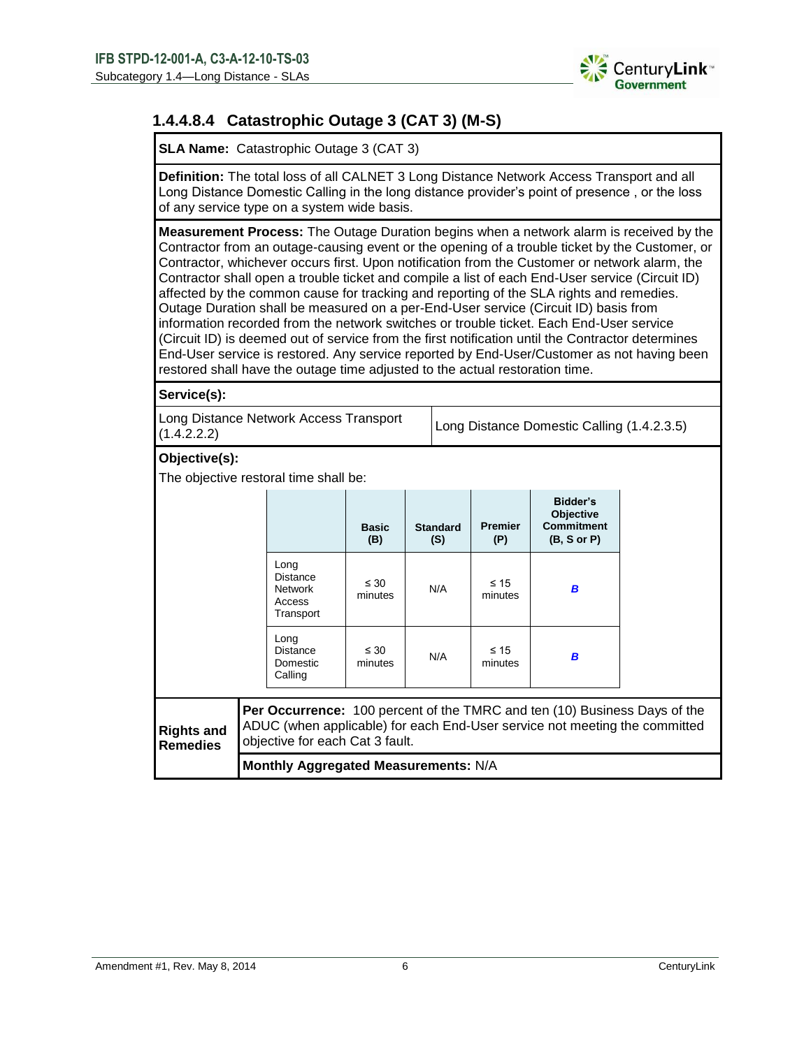

# **1.4.4.8.4 Catastrophic Outage 3 (CAT 3) (M-S)**

**SLA Name:** Catastrophic Outage 3 (CAT 3)

**Definition:** The total loss of all CALNET 3 Long Distance Network Access Transport and all Long Distance Domestic Calling in the long distance provider's point of presence , or the loss of any service type on a system wide basis.

**Measurement Process:** The Outage Duration begins when a network alarm is received by the Contractor from an outage-causing event or the opening of a trouble ticket by the Customer, or Contractor, whichever occurs first. Upon notification from the Customer or network alarm, the Contractor shall open a trouble ticket and compile a list of each End-User service (Circuit ID) affected by the common cause for tracking and reporting of the SLA rights and remedies. Outage Duration shall be measured on a per-End-User service (Circuit ID) basis from information recorded from the network switches or trouble ticket. Each End-User service (Circuit ID) is deemed out of service from the first notification until the Contractor determines End-User service is restored. Any service reported by End-User/Customer as not having been restored shall have the outage time adjusted to the actual restoration time.

**Service(s):**

Long Distance Network Access Transport Long Distance Domestic Calling (1.4.2.3.5)<br>(1.4.2.2.2)

## **Objective(s):**

The objective restoral time shall be:

|                                      |                                                                                                                                                                                            |                                                                  | <b>Basic</b><br>(B)  | <b>Standard</b><br>(S) | <b>Premier</b><br>(P) | Bidder's<br><b>Objective</b><br><b>Commitment</b><br>(B, S or P) |  |  |
|--------------------------------------|--------------------------------------------------------------------------------------------------------------------------------------------------------------------------------------------|------------------------------------------------------------------|----------------------|------------------------|-----------------------|------------------------------------------------------------------|--|--|
|                                      |                                                                                                                                                                                            | Long<br><b>Distance</b><br><b>Network</b><br>Access<br>Transport | $\leq 30$<br>minutes | N/A                    | $\leq 15$<br>minutes  | B                                                                |  |  |
|                                      |                                                                                                                                                                                            | Long<br><b>Distance</b><br>Domestic<br>Calling                   | $\leq 30$<br>minutes | N/A                    | $\leq 15$<br>minutes  | B                                                                |  |  |
| <b>Rights and</b><br><b>Remedies</b> | Per Occurrence: 100 percent of the TMRC and ten (10) Business Days of the<br>ADUC (when applicable) for each End-User service not meeting the committed<br>objective for each Cat 3 fault. |                                                                  |                      |                        |                       |                                                                  |  |  |
|                                      |                                                                                                                                                                                            | Monthly Aggregated Measurements: N/A                             |                      |                        |                       |                                                                  |  |  |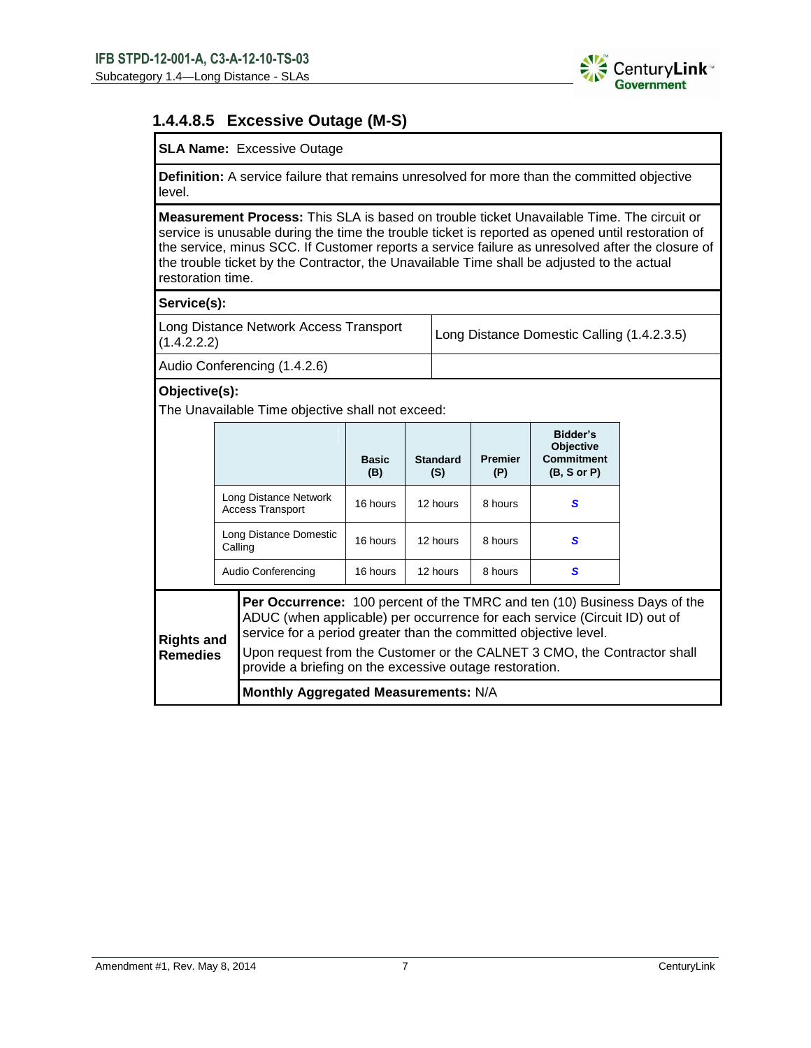

# **1.4.4.8.5 Excessive Outage (M-S)**

## **SLA Name:** Excessive Outage

**Definition:** A service failure that remains unresolved for more than the committed objective level.

**Measurement Process:** This SLA is based on trouble ticket Unavailable Time. The circuit or service is unusable during the time the trouble ticket is reported as opened until restoration of the service, minus SCC. If Customer reports a service failure as unresolved after the closure of the trouble ticket by the Contractor, the Unavailable Time shall be adjusted to the actual restoration time.

#### **Service(s):**

| Long Distance Network Access Transport<br>(1.4.2.2.2) |  |
|-------------------------------------------------------|--|
|                                                       |  |

(1.4.2.2.2) Long Distance Domestic Calling (1.4.2.3.5)

# **Objective(s):**

Audio Conferencing (1.4.2.6)

The Unavailable Time objective shall not exceed:

|                                      |         |                                                                                                                                                                                                                                                                                                                                                                           | <b>Basic</b><br>(B) | <b>Standard</b><br>(S) | <b>Premier</b><br>(P) | Bidder's<br><b>Objective</b><br><b>Commitment</b><br>(B, S or P) |  |  |  |
|--------------------------------------|---------|---------------------------------------------------------------------------------------------------------------------------------------------------------------------------------------------------------------------------------------------------------------------------------------------------------------------------------------------------------------------------|---------------------|------------------------|-----------------------|------------------------------------------------------------------|--|--|--|
|                                      |         | Long Distance Network<br><b>Access Transport</b>                                                                                                                                                                                                                                                                                                                          | 16 hours            | 12 hours               | 8 hours               | S                                                                |  |  |  |
|                                      | Calling | Long Distance Domestic                                                                                                                                                                                                                                                                                                                                                    | 16 hours            | 12 hours               | 8 hours               | S                                                                |  |  |  |
|                                      |         | Audio Conferencing                                                                                                                                                                                                                                                                                                                                                        | 16 hours            | 12 hours               | 8 hours               | s                                                                |  |  |  |
| <b>Rights and</b><br><b>Remedies</b> |         | <b>Per Occurrence:</b> 100 percent of the TMRC and ten (10) Business Days of the<br>ADUC (when applicable) per occurrence for each service (Circuit ID) out of<br>service for a period greater than the committed objective level.<br>Upon request from the Customer or the CALNET 3 CMO, the Contractor shall<br>provide a briefing on the excessive outage restoration. |                     |                        |                       |                                                                  |  |  |  |
|                                      |         | Monthly Aggregated Measurements: N/A                                                                                                                                                                                                                                                                                                                                      |                     |                        |                       |                                                                  |  |  |  |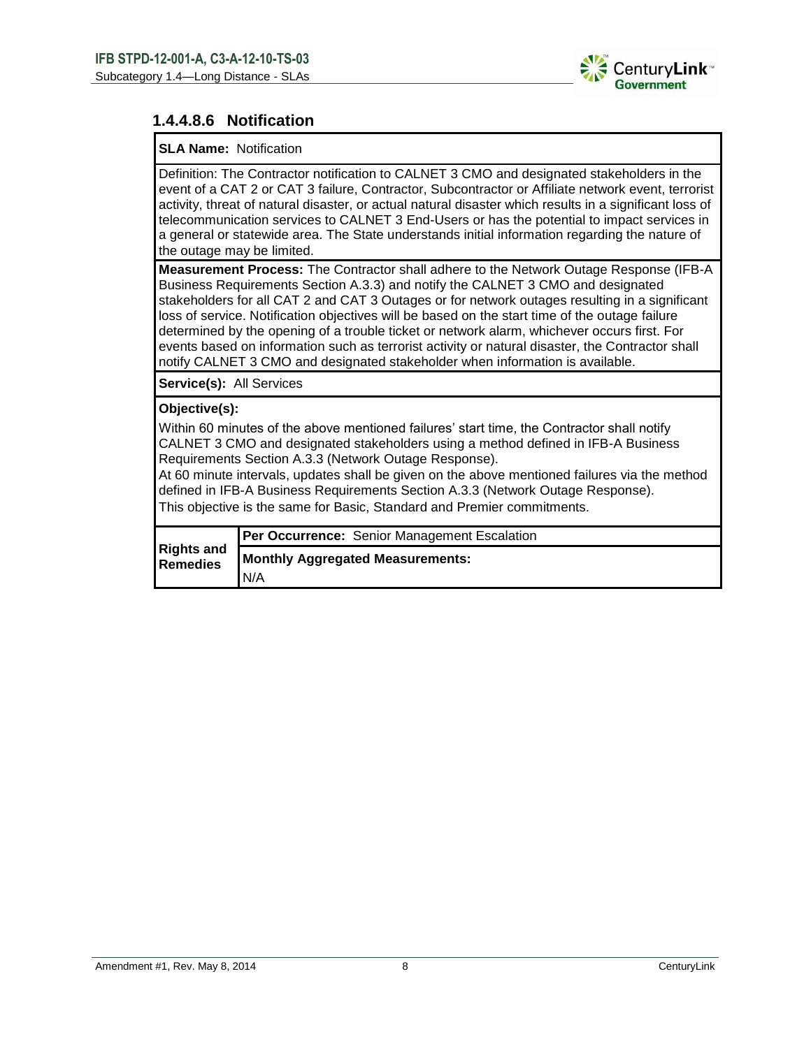

# **1.4.4.8.6 Notification**

## **SLA Name:** Notification

Definition: The Contractor notification to CALNET 3 CMO and designated stakeholders in the event of a CAT 2 or CAT 3 failure, Contractor, Subcontractor or Affiliate network event, terrorist activity, threat of natural disaster, or actual natural disaster which results in a significant loss of telecommunication services to CALNET 3 End-Users or has the potential to impact services in a general or statewide area. The State understands initial information regarding the nature of the outage may be limited.

**Measurement Process:** The Contractor shall adhere to the Network Outage Response (IFB-A Business Requirements Section A.3.3) and notify the CALNET 3 CMO and designated stakeholders for all CAT 2 and CAT 3 Outages or for network outages resulting in a significant loss of service. Notification objectives will be based on the start time of the outage failure determined by the opening of a trouble ticket or network alarm, whichever occurs first. For events based on information such as terrorist activity or natural disaster, the Contractor shall notify CALNET 3 CMO and designated stakeholder when information is available.

**Service(s):** All Services

## **Objective(s):**

Within 60 minutes of the above mentioned failures' start time, the Contractor shall notify CALNET 3 CMO and designated stakeholders using a method defined in IFB-A Business Requirements Section A.3.3 (Network Outage Response).

At 60 minute intervals, updates shall be given on the above mentioned failures via the method defined in IFB-A Business Requirements Section A.3.3 (Network Outage Response). This objective is the same for Basic, Standard and Premier commitments.

| <b>Rights and</b><br>Remedies | <b>Per Occurrence:</b> Senior Management Escalation |
|-------------------------------|-----------------------------------------------------|
|                               | <b>Monthly Aggregated Measurements:</b>             |
|                               | N/A                                                 |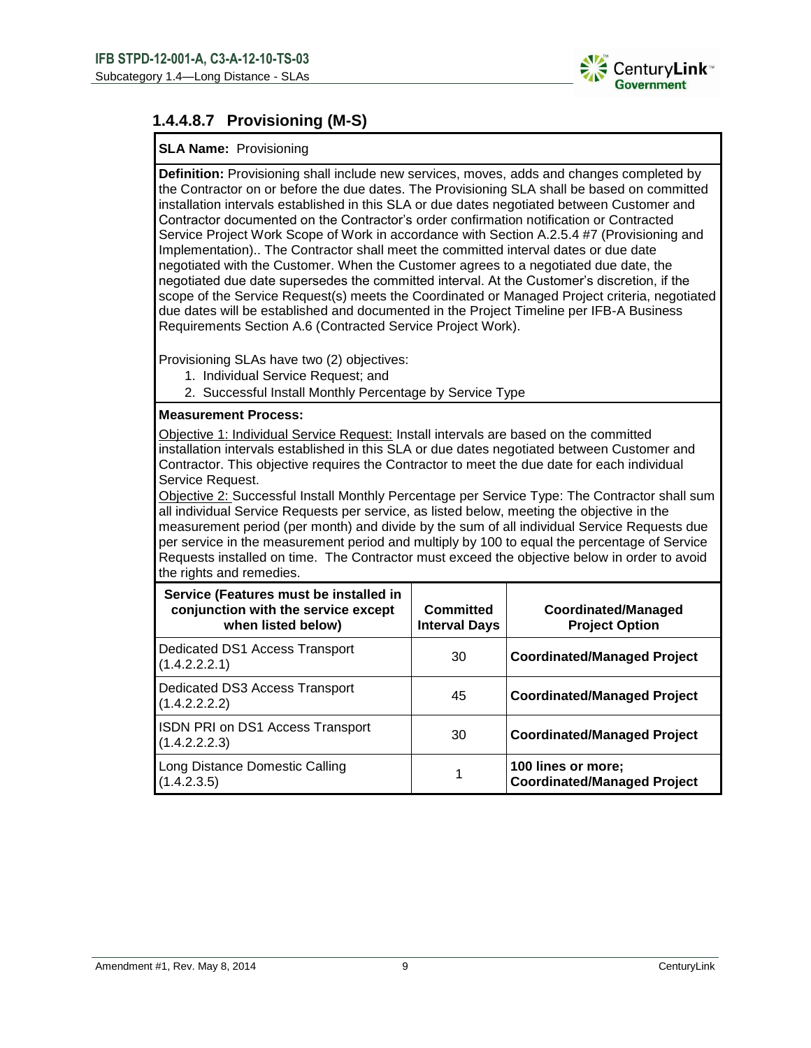

# **1.4.4.8.7 Provisioning (M-S)**

## **SLA Name:** Provisioning

**Definition:** Provisioning shall include new services, moves, adds and changes completed by the Contractor on or before the due dates. The Provisioning SLA shall be based on committed installation intervals established in this SLA or due dates negotiated between Customer and Contractor documented on the Contractor's order confirmation notification or Contracted Service Project Work Scope of Work in accordance with Section A.2.5.4 #7 (Provisioning and Implementation).. The Contractor shall meet the committed interval dates or due date negotiated with the Customer. When the Customer agrees to a negotiated due date, the negotiated due date supersedes the committed interval. At the Customer's discretion, if the scope of the Service Request(s) meets the Coordinated or Managed Project criteria, negotiated due dates will be established and documented in the Project Timeline per IFB-A Business Requirements Section A.6 (Contracted Service Project Work).

Provisioning SLAs have two (2) objectives:

- 1. Individual Service Request; and
- 2. Successful Install Monthly Percentage by Service Type

## **Measurement Process:**

Objective 1: Individual Service Request: Install intervals are based on the committed installation intervals established in this SLA or due dates negotiated between Customer and Contractor. This objective requires the Contractor to meet the due date for each individual Service Request.

Objective 2: Successful Install Monthly Percentage per Service Type: The Contractor shall sum all individual Service Requests per service, as listed below, meeting the objective in the measurement period (per month) and divide by the sum of all individual Service Requests due per service in the measurement period and multiply by 100 to equal the percentage of Service Requests installed on time. The Contractor must exceed the objective below in order to avoid the rights and remedies.

| Service (Features must be installed in<br>conjunction with the service except<br>when listed below) | <b>Committed</b><br><b>Interval Days</b> | Coordinated/Managed<br><b>Project Option</b>             |
|-----------------------------------------------------------------------------------------------------|------------------------------------------|----------------------------------------------------------|
| Dedicated DS1 Access Transport<br>(1.4.2.2.2.1)                                                     | 30                                       | <b>Coordinated/Managed Project</b>                       |
| Dedicated DS3 Access Transport<br>(1.4.2.2.2.2)                                                     | 45                                       | <b>Coordinated/Managed Project</b>                       |
| <b>ISDN PRI on DS1 Access Transport</b><br>(1.4.2.2.2.3)                                            | 30                                       | <b>Coordinated/Managed Project</b>                       |
| Long Distance Domestic Calling<br>(1.4.2.3.5)                                                       |                                          | 100 lines or more;<br><b>Coordinated/Managed Project</b> |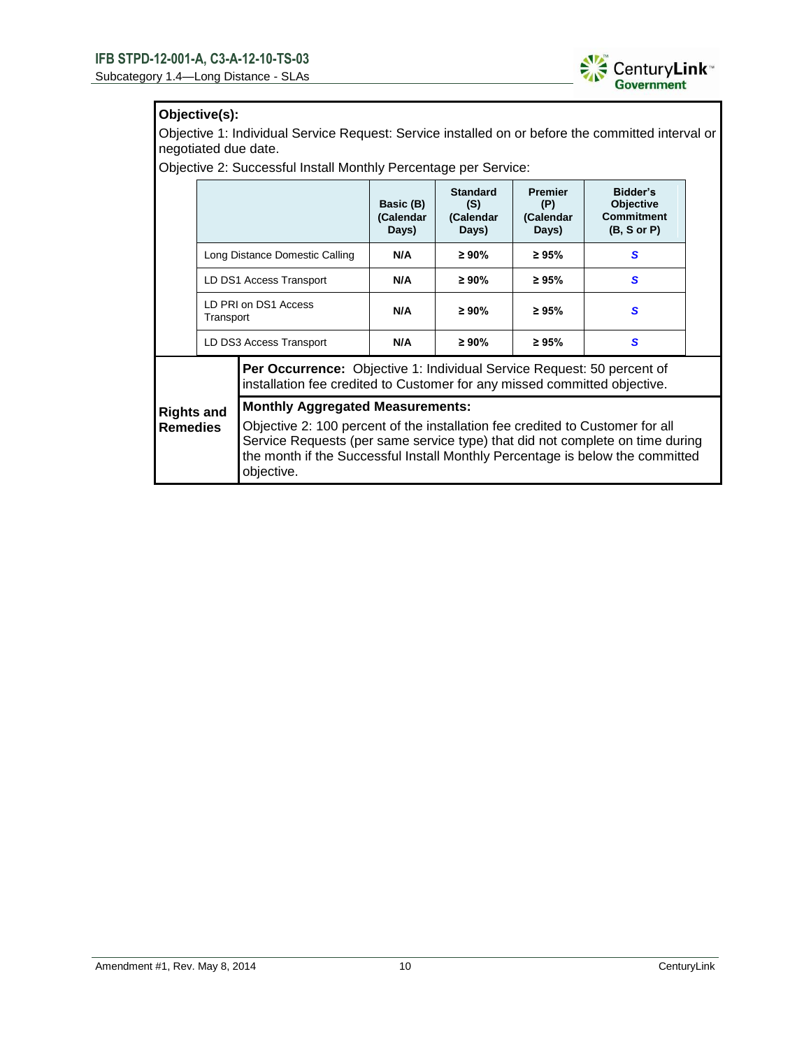

# **Objective(s):**

Objective 1: Individual Service Request: Service installed on or before the committed interval or negotiated due date.

Objective 2: Successful Install Monthly Percentage per Service:

|                   |                                                                                                                                                            |                                                                                                                                                                                                                                                               | Basic (B)<br>(Calendar<br>Days) | <b>Standard</b><br>(S)<br>(Calendar<br>Days) | <b>Premier</b><br>(P)<br>(Calendar<br>Days) | Bidder's<br>Objective<br><b>Commitment</b><br>$(B, S \text{ or } P)$ |  |  |
|-------------------|------------------------------------------------------------------------------------------------------------------------------------------------------------|---------------------------------------------------------------------------------------------------------------------------------------------------------------------------------------------------------------------------------------------------------------|---------------------------------|----------------------------------------------|---------------------------------------------|----------------------------------------------------------------------|--|--|
|                   |                                                                                                                                                            | Long Distance Domestic Calling                                                                                                                                                                                                                                | N/A                             | $\geq 90\%$                                  | $\geq 95\%$                                 | S                                                                    |  |  |
|                   |                                                                                                                                                            | LD DS1 Access Transport                                                                                                                                                                                                                                       | N/A                             | $\geq 90\%$                                  | $\geq 95\%$                                 | S                                                                    |  |  |
|                   | Transport                                                                                                                                                  | LD PRI on DS1 Access                                                                                                                                                                                                                                          | N/A                             | $\geq 90\%$                                  | $\geq 95\%$                                 | S                                                                    |  |  |
|                   |                                                                                                                                                            | LD DS3 Access Transport                                                                                                                                                                                                                                       | N/A                             | $\geq 90\%$                                  | $\geq 95\%$                                 | S                                                                    |  |  |
|                   | <b>Per Occurrence:</b> Objective 1: Individual Service Request: 50 percent of<br>installation fee credited to Customer for any missed committed objective. |                                                                                                                                                                                                                                                               |                                 |                                              |                                             |                                                                      |  |  |
| <b>Rights and</b> |                                                                                                                                                            | <b>Monthly Aggregated Measurements:</b>                                                                                                                                                                                                                       |                                 |                                              |                                             |                                                                      |  |  |
| <b>Remedies</b>   |                                                                                                                                                            | Objective 2: 100 percent of the installation fee credited to Customer for all<br>Service Requests (per same service type) that did not complete on time during<br>the month if the Successful Install Monthly Percentage is below the committed<br>objective. |                                 |                                              |                                             |                                                                      |  |  |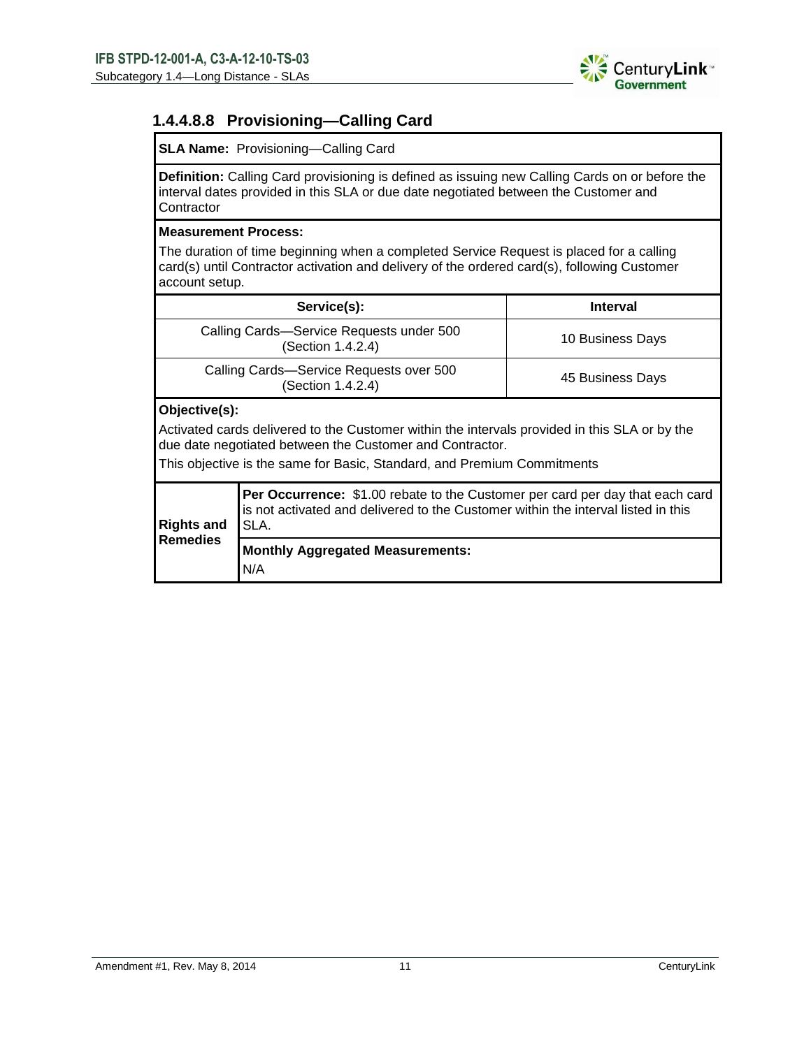

# **1.4.4.8.8 Provisioning—Calling Card**

## **SLA Name:** Provisioning—Calling Card

**Definition:** Calling Card provisioning is defined as issuing new Calling Cards on or before the interval dates provided in this SLA or due date negotiated between the Customer and **Contractor** 

## **Measurement Process:**

The duration of time beginning when a completed Service Request is placed for a calling card(s) until Contractor activation and delivery of the ordered card(s), following Customer account setup.

|                                                                                                                                                                                                                                                       | Service(s):                                                                                                                                                                       | <b>Interval</b>  |  |  |  |
|-------------------------------------------------------------------------------------------------------------------------------------------------------------------------------------------------------------------------------------------------------|-----------------------------------------------------------------------------------------------------------------------------------------------------------------------------------|------------------|--|--|--|
|                                                                                                                                                                                                                                                       | Calling Cards-Service Requests under 500<br>(Section 1.4.2.4)                                                                                                                     | 10 Business Days |  |  |  |
|                                                                                                                                                                                                                                                       | Calling Cards-Service Requests over 500<br>(Section 1.4.2.4)                                                                                                                      | 45 Business Days |  |  |  |
| Objective(s):<br>Activated cards delivered to the Customer within the intervals provided in this SLA or by the<br>due date negotiated between the Customer and Contractor.<br>This objective is the same for Basic, Standard, and Premium Commitments |                                                                                                                                                                                   |                  |  |  |  |
| <b>Rights and</b><br><b>Remedies</b>                                                                                                                                                                                                                  | <b>Per Occurrence:</b> \$1.00 rebate to the Customer per card per day that each card<br>is not activated and delivered to the Customer within the interval listed in this<br>SLA. |                  |  |  |  |
|                                                                                                                                                                                                                                                       | <b>Monthly Aggregated Measurements:</b><br>N/A                                                                                                                                    |                  |  |  |  |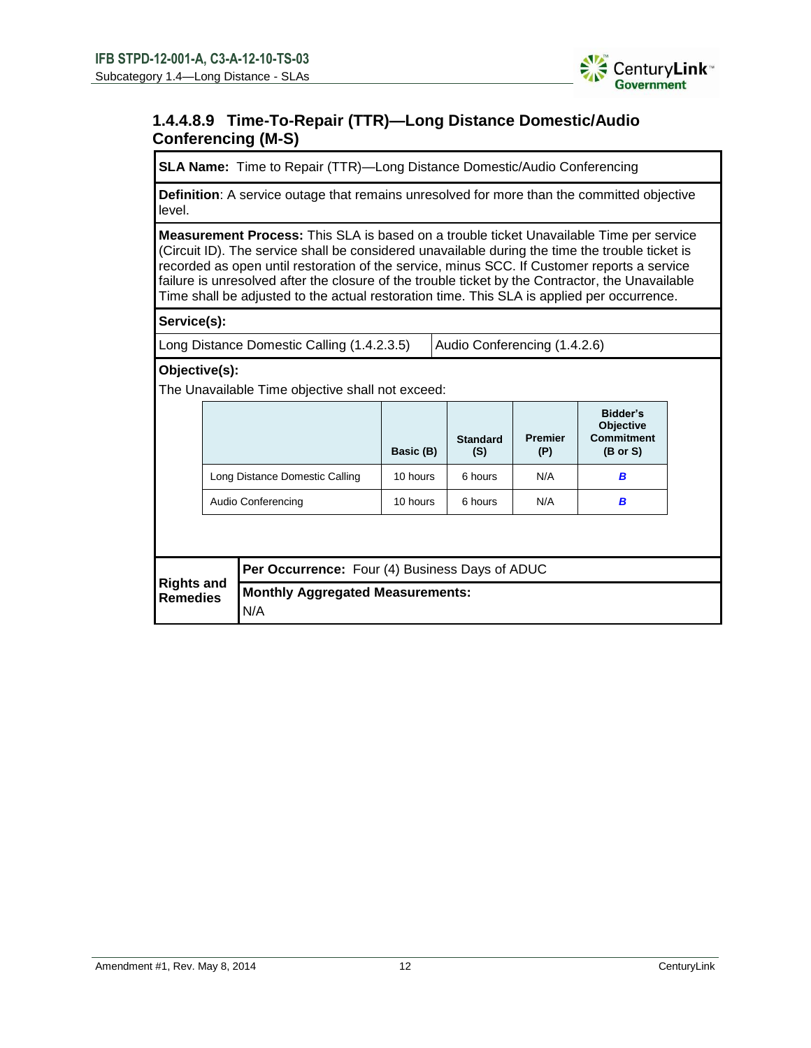

# **1.4.4.8.9 Time-To-Repair (TTR)—Long Distance Domestic/Audio Conferencing (M-S)**

**SLA Name:** Time to Repair (TTR)—Long Distance Domestic/Audio Conferencing

**Definition**: A service outage that remains unresolved for more than the committed objective level.

**Measurement Process:** This SLA is based on a trouble ticket Unavailable Time per service (Circuit ID). The service shall be considered unavailable during the time the trouble ticket is recorded as open until restoration of the service, minus SCC. If Customer reports a service failure is unresolved after the closure of the trouble ticket by the Contractor, the Unavailable Time shall be adjusted to the actual restoration time. This SLA is applied per occurrence.

## **Service(s):**

Long Distance Domestic Calling (1.4.2.3.5) Audio Conferencing (1.4.2.6)

## **Objective(s):**

The Unavailable Time objective shall not exceed:

|                                      |                                                |                                                | Basic (B) | <b>Standard</b><br>(S) | <b>Premier</b><br>(P) | Bidder's<br>Objective<br><b>Commitment</b><br>$(B \text{ or } S)$ |
|--------------------------------------|------------------------------------------------|------------------------------------------------|-----------|------------------------|-----------------------|-------------------------------------------------------------------|
|                                      | Long Distance Domestic Calling                 |                                                | 10 hours  | 6 hours                | N/A                   | B                                                                 |
|                                      | Audio Conferencing                             |                                                | 10 hours  | 6 hours                | N/A                   | B                                                                 |
|                                      |                                                |                                                |           |                        |                       |                                                                   |
| <b>Rights and</b><br><b>Remedies</b> |                                                | Per Occurrence: Four (4) Business Days of ADUC |           |                        |                       |                                                                   |
|                                      | <b>Monthly Aggregated Measurements:</b><br>N/A |                                                |           |                        |                       |                                                                   |